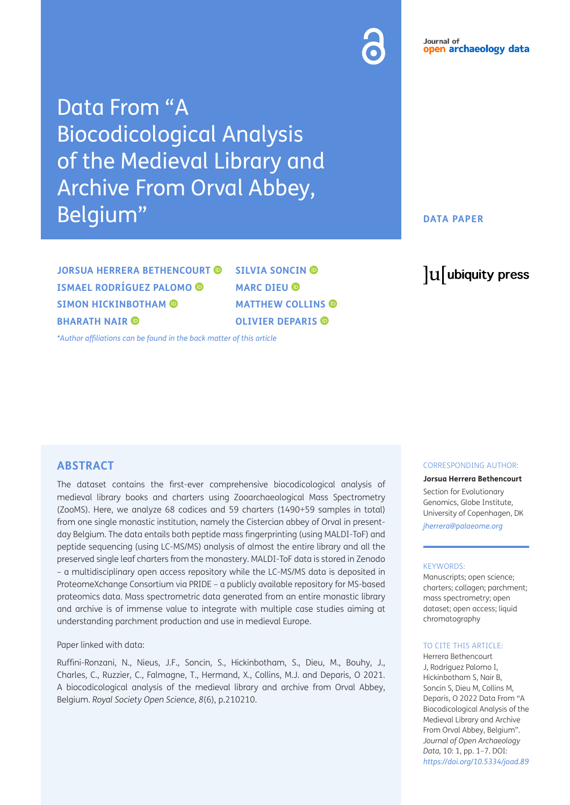# Data From "A Biocodicological Analysis of the Medieval Library and Archive From Orval Abbey, Belgium"

**DATA PAPER**

**JORSUA HERRERA BETHENCOURT © ISMAEL RODRÍGUEZ PALOMO SIMON HICKINBOTHAM BHARATH NAIR** 

**SILVIA SONCIN MARCDIEU**<sup>**<sup><sup></sup></sup></sup> MATTHEW COLLINS OLIVIER DEPARIS**

*[\\*Author affiliations can be found in the back matter of this article](#page-5-0)*

# lu ubiquity press

### **ABSTRACT**

The dataset contains the first-ever comprehensive biocodicological analysis of medieval library books and charters using Zooarchaeological Mass Spectrometry (ZooMS). Here, we analyze 68 codices and 59 charters (1490+59 samples in total) from one single monastic institution, namely the Cistercian abbey of Orval in presentday Belgium. The data entails both peptide mass fingerprinting (using MALDI-ToF) and peptide sequencing (using LC-MS/MS) analysis of almost the entire library and all the preserved single leaf charters from the monastery. MALDI-ToF data is stored in Zenodo – a multidisciplinary open access repository while the LC-MS/MS data is deposited in ProteomeXchange Consortium via PRIDE – a publicly available repository for MS-based proteomics data. Mass spectrometric data generated from an entire monastic library and archive is of immense value to integrate with multiple case studies aiming at understanding parchment production and use in medieval Europe.

#### Paper linked with data:

Ruffini-Ronzani, N., Nieus, J.F., Soncin, S., Hickinbotham, S., Dieu, M., Bouhy, J., Charles, C., Ruzzier, C., Falmagne, T., Hermand, X., Collins, M.J. and Deparis, O 2021. A biocodicological analysis of the medieval library and archive from Orval Abbey, Belgium. *Royal Society Open Science*, *8*(6), p.210210.

#### CORRESPONDING AUTHOR:

**Jorsua Herrera Bethencourt**

Section for Evolutionary Genomics, Globe Institute, University of Copenhagen, DK *jherrera@palaeome.org*

#### KEYWORDS:

Manuscripts; open science; charters; collagen; parchment; mass spectrometry; open dataset; open access; liquid chromatography

#### TO CITE THIS ARTICLE:

Herrera Bethencourt J, Rodríguez Palomo I, Hickinbotham S, Nair B, Soncin S, Dieu M, Collins M, Deparis, O 2022 Data From "A Biocodicological Analysis of the Medieval Library and Archive From Orval Abbey, Belgium". *Journal of Open Archaeology Data,* 10: 1, pp. 1–7. DOI: *<https://doi.org/10.5334/joad.89>*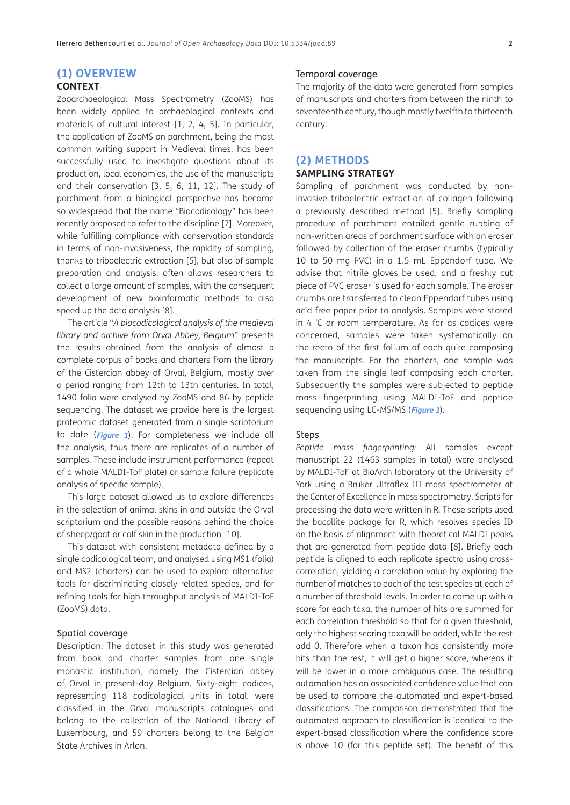# **(1) OVERVIEW**

# **CONTEXT**

Zooarchaeological Mass Spectrometry (ZooMS) has been widely applied to archaeological contexts and materials of cultural interest [\[1, 2, 4, 5](#page-5-1)]. In particular, the application of ZooMS on parchment, being the most common writing support in Medieval times, has been successfully used to investigate questions about its production, local economies, the use of the manuscripts and their conservation [\[3, 5, 6, 11, 12](#page-5-1)]. The study of parchment from a biological perspective has become so widespread that the name "Biocodicology" has been recently proposed to refer to the discipline [\[7](#page-5-1)]. Moreover, while fulfilling compliance with conservation standards in terms of non-invasiveness, the rapidity of sampling, thanks to triboelectric extraction [\[5\]](#page-5-1), but also of sample preparation and analysis, often allows researchers to collect a large amount of samples, with the consequent development of new bioinformatic methods to also speed up the data analysis [\[8](#page-5-1)].

The article "*A biocodicological analysis of the medieval library and archive from Orval Abbey, Belgium*" presents the results obtained from the analysis of almost a complete corpus of books and charters from the library of the Cistercian abbey of Orval, Belgium, mostly over a period ranging from 12th to 13th centuries. In total, 1490 folia were analysed by ZooMS and 86 by peptide sequencing. The dataset we provide here is the largest proteomic dataset generated from a single scriptorium to date (**[Figure 1](#page-2-0)**). For completeness we include all the analysis, thus there are replicates of a number of samples. These include instrument performance (repeat of a whole MALDI-ToF plate) or sample failure (replicate analysis of specific sample).

This large dataset allowed us to explore differences in the selection of animal skins in and outside the Orval scriptorium and the possible reasons behind the choice of sheep/goat or calf skin in the production [[10\]](#page-5-1).

This dataset with consistent metadata defined by a single codicological team, and analysed using MS1 (folia) and MS2 (charters) can be used to explore alternative tools for discriminating closely related species, and for refining tools for high throughput analysis of MALDI-ToF (ZooMS) data.

#### Spatial coverage

Description: The dataset in this study was generated from book and charter samples from one single monastic institution, namely the Cistercian abbey of Orval in present-day Belgium. Sixty-eight codices, representing 118 codicological units in total, were classified in the Orval manuscripts catalogues and belong to the collection of the National Library of Luxembourg, and 59 charters belong to the Belgian State Archives in Arlon.

#### Temporal coverage

The majority of the data were generated from samples of manuscripts and charters from between the ninth to seventeenth century, though mostly twelfth to thirteenth century.

# **(2) METHODS SAMPLING STRATEGY**

Sampling of parchment was conducted by noninvasive triboelectric extraction of collagen following a previously described method [\[5\]](#page-5-1). Briefly sampling procedure of parchment entailed gentle rubbing of non-written areas of parchment surface with an eraser followed by collection of the eraser crumbs (typically 10 to 50 mg PVC) in a 1.5 mL Eppendorf tube. We advise that nitrile gloves be used, and a freshly cut piece of PVC eraser is used for each sample. The eraser crumbs are transferred to clean Eppendorf tubes using acid free paper prior to analysis. Samples were stored in 4 ° C or room temperature. As far as codices were concerned, samples were taken systematically on the recto of the first folium of each quire composing the manuscripts. For the charters, one sample was taken from the single leaf composing each charter. Subsequently the samples were subjected to peptide mass fingerprinting using MALDI-ToF and peptide sequencing using LC-MS/MS (**[Figure 1](#page-2-0)**).

#### Steps

*Peptide mass fingerprinting:* All samples except manuscript 22 (1463 samples in total) were analysed by MALDI-ToF at BioArch laboratory at the University of York using a Bruker Ultraflex III mass spectrometer at the Center of Excellence in mass spectrometry. Scripts for processing the data were written in R. These scripts used the bacollite package for R, which resolves species ID on the basis of alignment with theoretical MALDI peaks that are generated from peptide data [[8\]](#page-5-1). Briefly each peptide is aligned to each replicate spectra using crosscorrelation, yielding a correlation value by exploring the number of matches to each of the test species at each of a number of threshold levels. In order to come up with a score for each taxa, the number of hits are summed for each correlation threshold so that for a given threshold, only the highest scoring taxa will be added, while the rest add 0. Therefore when a taxon has consistently more hits than the rest, it will get a higher score, whereas it will be lower in a more ambiguous case. The resulting automation has an associated confidence value that can be used to compare the automated and expert-based classifications. The comparison demonstrated that the automated approach to classification is identical to the expert-based classification where the confidence score is above 10 (for this peptide set). The benefit of this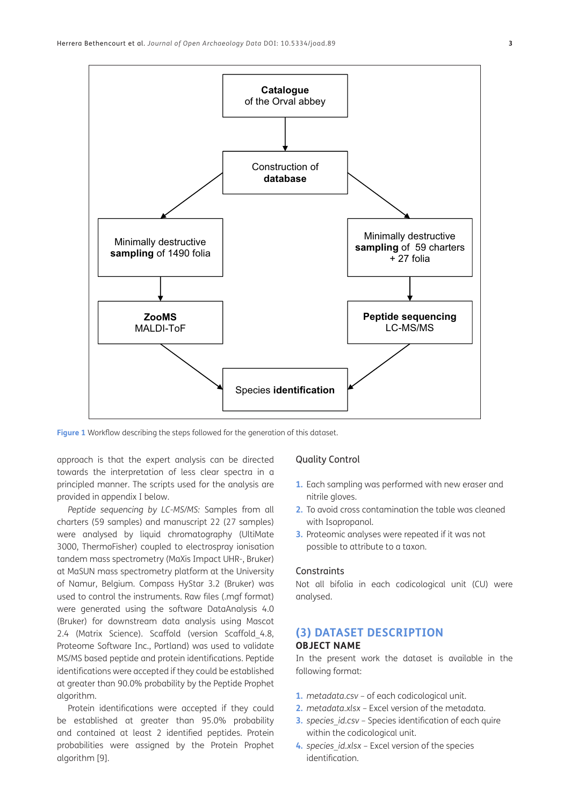

<span id="page-2-0"></span>**Figure 1** Workflow describing the steps followed for the generation of this dataset.

approach is that the expert analysis can be directed towards the interpretation of less clear spectra in a principled manner. The scripts used for the analysis are provided in appendix I below.

*Peptide sequencing by LC-MS/MS:* Samples from all charters (59 samples) and manuscript 22 (27 samples) were analysed by liquid chromatography (UltiMate 3000, ThermoFisher) coupled to electrospray ionisation tandem mass spectrometry (MaXis Impact UHR-, Bruker) at MaSUN mass spectrometry platform at the University of Namur, Belgium. Compass HyStar 3.2 (Bruker) was used to control the instruments. Raw files (.mgf format) were generated using the software DataAnalysis 4.0 (Bruker) for downstream data analysis using Mascot 2.4 (Matrix Science). Scaffold (version Scaffold 4.8, Proteome Software Inc., Portland) was used to validate MS/MS based peptide and protein identifications. Peptide identifications were accepted if they could be established at greater than 90.0% probability by the Peptide Prophet algorithm.

Protein identifications were accepted if they could be established at greater than 95.0% probability and contained at least 2 identified peptides. Protein probabilities were assigned by the Protein Prophet algorithm [\[9](#page-5-1)].

#### Quality Control

- **1.** Each sampling was performed with new eraser and nitrile gloves.
- **2.** To avoid cross contamination the table was cleaned with Isopropanol.
- **3.** Proteomic analyses were repeated if it was not possible to attribute to a taxon.

#### **Constraints**

Not all bifolia in each codicological unit (CU) were analysed.

# **(3) DATASET DESCRIPTION OBJECT NAME**

In the present work the dataset is available in the following format:

- **1.** *metadata.csv* of each codicological unit.
- **2.** *metadata.xlsx* Excel version of the metadata.
- **3.** *species id.csv* Species identification of each quire within the codicological unit.
- **4.** *species\_id.xlsx* Excel version of the species identification.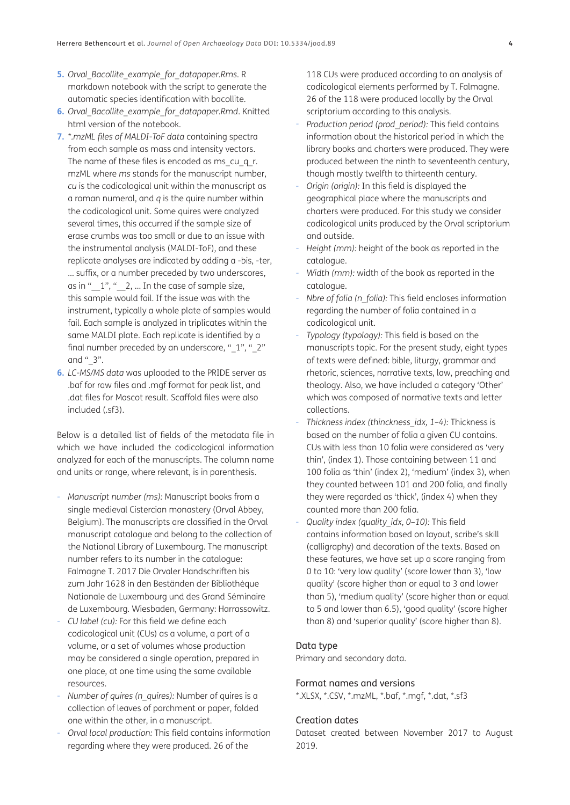- **5.** *Orval\_Bacollite\_example\_for\_datapaper.Rms*. R markdown notebook with the script to generate the automatic species identification with bacollite.
- **6.** *Orval\_Bacollite\_example\_for\_datapaper.Rmd*. Knitted html version of the notebook.
- **7.** *\*.mzML files of MALDI-ToF data* containing spectra from each sample as mass and intensity vectors. The name of these files is encoded as ms\_cu\_q\_r. mzML where *ms* stands for the manuscript number, *cu* is the codicological unit within the manuscript as a roman numeral, and *q* is the quire number within the codicological unit. Some quires were analyzed several times, this occurred if the sample size of erase crumbs was too small or due to an issue with the instrumental analysis (MALDI-ToF), and these replicate analyses are indicated by adding a -bis, -ter, … suffix, or a number preceded by two underscores, as in " $1$ ", " $2$ , ... In the case of sample size, this sample would fail. If the issue was with the instrument, typically a whole plate of samples would fail. Each sample is analyzed in triplicates within the same MALDI plate. Each replicate is identified by a final number preceded by an underscore, "  $1$ ", "  $2$ " and " 3".
- **6.** *LC-MS/MS data* was uploaded to the PRIDE server as .baf for raw files and .mgf format for peak list, and .dat files for Mascot result. Scaffold files were also included (.sf3).

Below is a detailed list of fields of the metadata file in which we have included the codicological information analyzed for each of the manuscripts. The column name and units or range, where relevant, is in parenthesis.

- *- Manuscript number (ms):* Manuscript books from a single medieval Cistercian monastery (Orval Abbey, Belgium). The manuscripts are classified in the Orval manuscript catalogue and belong to the collection of the National Library of Luxembourg. The manuscript number refers to its number in the catalogue: Falmagne T. 2017 Die Orvaler Handschriften bis zum Jahr 1628 in den Beständen der Bibliothèque Nationale de Luxembourg und des Grand Séminaire de Luxembourg. Wiesbaden, Germany: Harrassowitz.
- *- CU label (cu):* For this field we define each codicological unit (CUs) as a volume, a part of a volume, or a set of volumes whose production may be considered a single operation, prepared in one place, at one time using the same available resources.
- *Number of quires (n\_quires):* Number of quires is a collection of leaves of parchment or paper, folded one within the other, in a manuscript.
- *- Orval local production:* This field contains information regarding where they were produced. 26 of the

118 CUs were produced according to an analysis of codicological elements performed by T. Falmagne. 26 of the 118 were produced locally by the Orval scriptorium according to this analysis.

- *- Production period (prod\_period):* This field contains information about the historical period in which the library books and charters were produced. They were produced between the ninth to seventeenth century, though mostly twelfth to thirteenth century.
- *- Origin (origin):* In this field is displayed the geographical place where the manuscripts and charters were produced. For this study we consider codicological units produced by the Orval scriptorium and outside.
- *- Height (mm):* height of the book as reported in the catalogue.
- *Width (mm):* width of the book as reported in the catalogue.
- *Nbre of folia (n\_folia):* This field encloses information regarding the number of folia contained in a codicological unit.
- *- Typology (typology):* This field is based on the manuscripts topic. For the present study, eight types of texts were defined: bible, liturgy, grammar and rhetoric, sciences, narrative texts, law, preaching and theology. Also, we have included a category 'Other' which was composed of normative texts and letter collections.
- *- Thickness index (thinckness\_idx, 1–4):* Thickness is based on the number of folia a given CU contains. CUs with less than 10 folia were considered as 'very thin', (index 1). Those containing between 11 and 100 folia as 'thin' (index 2), 'medium' (index 3), when they counted between 101 and 200 folia, and finally they were regarded as 'thick', (index 4) when they counted more than 200 folia.
- *- Quality index (quality\_idx, 0–10):* This field contains information based on layout, scribe's skill (calligraphy) and decoration of the texts. Based on these features, we have set up a score ranging from 0 to 10: 'very low quality' (score lower than 3), 'low quality' (score higher than or equal to 3 and lower than 5), 'medium quality' (score higher than or equal to 5 and lower than 6.5), 'good quality' (score higher than 8) and 'superior quality' (score higher than 8).

#### Data type

Primary and secondary data.

#### Format names and versions

\*.XLSX, \*.CSV, \*.mzML, \*.baf, \*.mgf, \*.dat, \*.sf3

#### Creation dates

Dataset created between November 2017 to August 2019.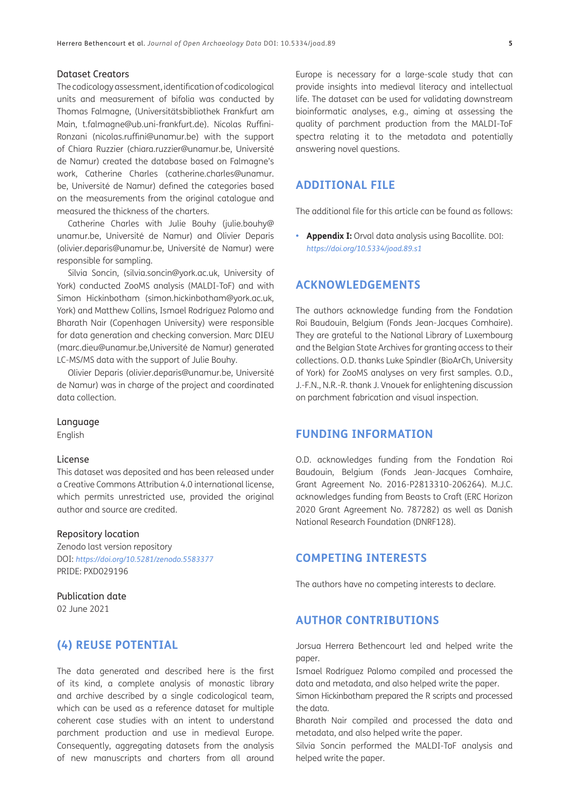#### Dataset Creators

The codicology assessment, identification of codicological units and measurement of bifolia was conducted by Thomas Falmagne, (Universitätsbibliothek Frankfurt am Main, t.falmagne@ub.uni-frankfurt.de). Nicolas Ruffini-Ronzani (nicolas.ruffini@unamur.be) with the support of Chiara Ruzzier (chiara.ruzzier@unamur.be, Université de Namur) created the database based on Falmagne's work, Catherine Charles (catherine.charles@unamur. be, Université de Namur) defined the categories based on the measurements from the original catalogue and measured the thickness of the charters.

Catherine Charles with Julie Bouhy (julie.bouhy@ unamur.be, Université de Namur) and Olivier Deparis (olivier.deparis@unamur.be, Université de Namur) were responsible for sampling.

Silvia Soncin, (silvia.soncin@york.ac.uk, University of York) conducted ZooMS analysis (MALDI-ToF) and with Simon Hickinbotham (simon.hickinbotham@york.ac.uk, York) and Matthew Collins, Ismael Rodríguez Palomo and Bharath Nair (Copenhagen University) were responsible for data generation and checking conversion. Marc DIEU (marc.dieu@unamur.be,Université de Namur) generated LC-MS/MS data with the support of Julie Bouhy.

Olivier Deparis (olivier.deparis@unamur.be, Université de Namur) was in charge of the project and coordinated data collection.

#### Language

English

#### License

This dataset was deposited and has been released under a Creative Commons Attribution 4.0 international license, which permits unrestricted use, provided the original author and source are credited.

#### Repository location

Zenodo last version repository DOI: *<https://doi.org/10.5281/zenodo.5583377>* PRIDE: PXD029196

# Publication date

02 June 2021

# **(4) REUSE POTENTIAL**

The data generated and described here is the first of its kind, a complete analysis of monastic library and archive described by a single codicological team, which can be used as a reference dataset for multiple coherent case studies with an intent to understand parchment production and use in medieval Europe. Consequently, aggregating datasets from the analysis of new manuscripts and charters from all around

Europe is necessary for a large-scale study that can provide insights into medieval literacy and intellectual life. The dataset can be used for validating downstream bioinformatic analyses, e.g., aiming at assessing the quality of parchment production from the MALDI-ToF spectra relating it to the metadata and potentially answering novel questions.

# **ADDITIONAL FILE**

The additional file for this article can be found as follows:

**• Appendix I:** Orval data analysis using Bacollite. DOI: *<https://doi.org/10.5334/joad.89.s1>*

# **ACKNOWLEDGEMENTS**

The authors acknowledge funding from the Fondation Roi Baudouin, Belgium (Fonds Jean-Jacques Comhaire). They are grateful to the National Library of Luxembourg and the Belgian State Archives for granting access to their collections. O.D. thanks Luke Spindler (BioArCh, University of York) for ZooMS analyses on very first samples. O.D., J.-F.N., N.R.-R. thank J. Vnouek for enlightening discussion on parchment fabrication and visual inspection.

# **FUNDING INFORMATION**

O.D. acknowledges funding from the Fondation Roi Baudouin, Belgium (Fonds Jean-Jacques Comhaire, Grant Agreement No. 2016-P2813310-206264). M.J.C. acknowledges funding from Beasts to Craft (ERC Horizon 2020 Grant Agreement No. 787282) as well as Danish National Research Foundation (DNRF128).

# **COMPETING INTERESTS**

The authors have no competing interests to declare.

### **AUTHOR CONTRIBUTIONS**

Jorsua Herrera Bethencourt led and helped write the paper.

Ismael Rodríguez Palomo compiled and processed the data and metadata, and also helped write the paper.

Simon Hickinbotham prepared the R scripts and processed the data.

Bharath Nair compiled and processed the data and metadata, and also helped write the paper.

Silvia Soncin performed the MALDI-ToF analysis and helped write the paper.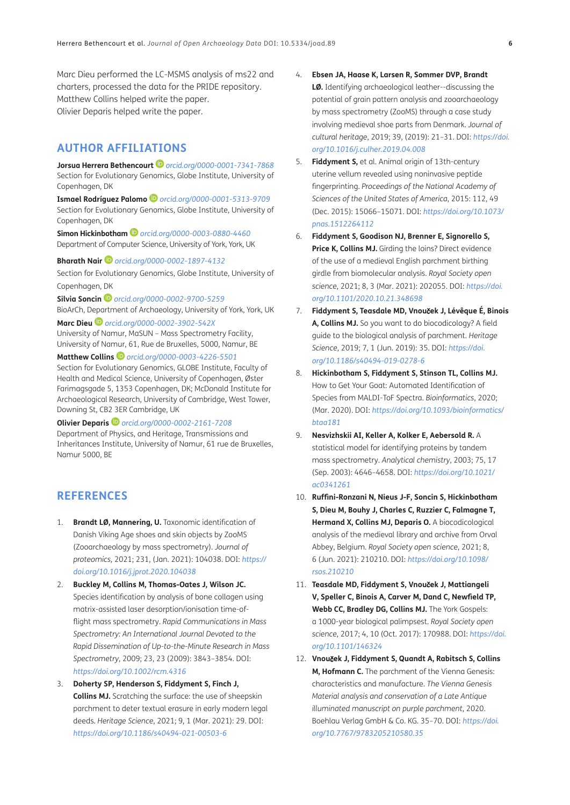<span id="page-5-1"></span>Marc Dieu performed the LC-MSMS analysis of ms22 and charters, processed the data for the PRIDE repository. Matthew Collins helped write the paper. Olivier Deparis helped write the paper.

# <span id="page-5-0"></span>**AUTHOR AFFILIATIONS**

**Jorsua Herrera Bethencourt***[orcid.org/0000-0001-7341-7868](https://orcid.org/0000-0001-7341-7868)* Section for Evolutionary Genomics, Globe Institute, University of Copenhagen, DK

**Ismael Rodríguez Palomo** *[orcid.org/0000-0001-5313-9709](https://orcid.org/0000-0001-5313-9709)* Section for Evolutionary Genomics, Globe Institute, University of Copenhagen, DK

**Simon Hickinbotham***[orcid.org/0000-0003-0880-4460](https://orcid.org/0000-0003-0880-4460)* Department of Computer Science, University of York, York, UK

**Bharath Nair** *[orcid.org/0000-0002-1897-4132](https://orcid.org/0000-0002-1897-4132)*

Section for Evolutionary Genomics, Globe Institute, University of Copenhagen, DK

**Silvia Soncin***[orcid.org/0000-0002-9700-5259](https://orcid.org/0000-0002-9700-5259)* BioArCh, Department of Archaeology, University of York, York, UK

**Marc Dieu** *[orcid.org/0000-0002-3902-542X](https://orcid.org/0000-0002-3902-542X)* University of Namur, MaSUN – Mass Spectrometry Facility, University of Namur, 61, Rue de Bruxelles, 5000, Namur, BE

**Matthew Collins***[orcid.org/0000-0003-4226-5501](https://orcid.org/0000-0003-4226-5501)* Section for Evolutionary Genomics, GLOBE Institute, Faculty of Health and Medical Science, University of Copenhagen, Øster Farimagsgade 5, 1353 Copenhagen, DK; McDonald Institute for Archaeological Research, University of Cambridge, West Tower, Downing St, CB2 3ER Cambridge, UK

**Olivier Deparis***[orcid.org/0000-0002-2161-7208](https://orcid.org/0000-0002-2161-7208)* Department of Physics, and Heritage, Transmissions and Inheritances Institute, University of Namur, 61 rue de Bruxelles, Namur 5000, BE

# **REFERENCES**

- 1. **Brandt LØ, Mannering, U.** Taxonomic identification of Danish Viking Age shoes and skin objects by ZooMS (Zooarchaeology by mass spectrometry). *Journal of proteomics,* 2021; 231, (Jan. 2021): 104038. DOI: *[https://](https://doi.org/10.1016/j.jprot.2020.104038) [doi.org/10.1016/j.jprot.2020.104038](https://doi.org/10.1016/j.jprot.2020.104038)*
- 2. **Buckley M, Collins M, Thomas-Oates J, Wilson JC.** Species identification by analysis of bone collagen using matrix-assisted laser desorption/ionisation time-offlight mass spectrometry. *Rapid Communications in Mass Spectrometry: An International Journal Devoted to the Rapid Dissemination of Up-to-the-Minute Research in Mass Spectrometry*, 2009; 23, 23 (2009): 3843–3854. DOI: *<https://doi.org/10.1002/rcm.4316>*
- 3. **Doherty SP, Henderson S, Fiddyment S, Finch J, Collins MJ.** Scratching the surface: the use of sheepskin parchment to deter textual erasure in early modern legal deeds. *Heritage Science*, 2021; 9, 1 (Mar. 2021): 29. DOI: *<https://doi.org/10.1186/s40494-021-00503-6>*
- 4. **Ebsen JA, Haase K, Larsen R, Sommer DVP, Brandt LØ.** Identifying archaeological leather--discussing the potential of grain pattern analysis and zooarchaeology by mass spectrometry (ZooMS) through a case study involving medieval shoe parts from Denmark. *Journal of cultural heritage*, 2019; 39, (2019): 21–31. DOI: *[https://doi.](https://doi.org/10.1016/j.culher.2019.04.008) [org/10.1016/j.culher.2019.04.008](https://doi.org/10.1016/j.culher.2019.04.008)*
- 5. **Fiddyment S,** et al. Animal origin of 13th-century uterine vellum revealed using noninvasive peptide fingerprinting. *Proceedings of the National Academy of Sciences of the United States of America*, 2015: 112, 49 (Dec. 2015): 15066–15071. DOI: *[https://doi.org/10.1073/](https://doi.org/10.1073/pnas.1512264112) [pnas.1512264112](https://doi.org/10.1073/pnas.1512264112)*
- 6. **Fiddyment S, Goodison NJ, Brenner E, Signorello S, Price K, Collins MJ.** Girding the loins? Direct evidence of the use of a medieval English parchment birthing girdle from biomolecular analysis. *Royal Society open science*, 2021; 8, 3 (Mar. 2021): 202055. DOI: *[https://doi.](https://doi.org/10.1101/2020.10.21.348698) [org/10.1101/2020.10.21.348698](https://doi.org/10.1101/2020.10.21.348698)*
- 7. **Fiddyment S, Teasdale MD, Vnou**č**ek J, Lévêque É, Binois A, Collins MJ.** So you want to do biocodicology? A field guide to the biological analysis of parchment. *Heritage Science*, 2019; 7, 1 (Jun. 2019): 35. DOI: *[https://doi.](https://doi.org/10.1186/s40494-019-0278-6) [org/10.1186/s40494-019-0278-6](https://doi.org/10.1186/s40494-019-0278-6)*
- 8. **Hickinbotham S, Fiddyment S, Stinson TL, Collins MJ.** How to Get Your Goat: Automated Identification of Species from MALDI-ToF Spectra. *Bioinformatics*, 2020; (Mar. 2020). DOI: *[https://doi.org/10.1093/bioinformatics/](https://doi.org/10.1093/bioinformatics/btaa181) [btaa181](https://doi.org/10.1093/bioinformatics/btaa181)*
- 9. **Nesvizhskii AI, Keller A, Kolker E, Aebersold R.** A statistical model for identifying proteins by tandem mass spectrometry. *Analytical chemistry*, 2003; 75, 17 (Sep. 2003): 4646–4658. DOI: *[https://doi.org/10.1021/](https://doi.org/10.1021/ac0341261) [ac0341261](https://doi.org/10.1021/ac0341261)*
- 10. **Ruffini-Ronzani N, Nieus J-F, Soncin S, Hickinbotham S, Dieu M, Bouhy J, Charles C, Ruzzier C, Falmagne T, Hermand X, Collins MJ, Deparis O.** A biocodicological analysis of the medieval library and archive from Orval Abbey, Belgium. *Royal Society open science*, 2021; 8, 6 (Jun. 2021): 210210. DOI: *[https://doi.org/10.1098/](https://doi.org/10.1098/rsos.210210) [rsos.210210](https://doi.org/10.1098/rsos.210210)*
- 11. **Teasdale MD, Fiddyment S, Vnou**č**ek J, Mattiangeli V, Speller C, Binois A, Carver M, Dand C, Newfield TP, Webb CC, Bradley DG, Collins MJ.** The York Gospels: a 1000-year biological palimpsest. *Royal Society open science*, 2017; 4, 10 (Oct. 2017): 170988. DOI: *[https://doi.](https://doi.org/10.1101/146324) [org/10.1101/146324](https://doi.org/10.1101/146324)*
- 12. **Vnou**č**ek J, Fiddyment S, Quandt A, Rabitsch S, Collins M, Hofmann C.** The parchment of the Vienna Genesis: characteristics and manufacture. *The Vienna Genesis Material analysis and conservation of a Late Antique illuminated manuscript on purple parchment*, 2020. Boehlau Verlag GmbH & Co. KG. 35–70. DOI: *[https://doi.](https://doi.org/10.7767/9783205210580.35) [org/10.7767/9783205210580.35](https://doi.org/10.7767/9783205210580.35)*